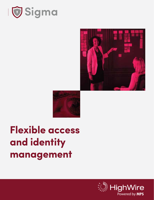





# **Flexible access and identity management**

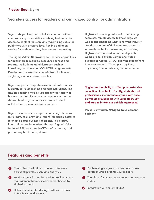## Seamless access for readers and centralized control for administrators

Sigma lets you keep control of your content without compromising accessibility, enabling fast and easy access to content for users and maximizing value for publishers with a centralized, flexible and open service for authentication, licensing and reporting.

The Sigma Admin UI provides self-service capabilities for publishers to manage accounts, licenses and reports. Institutional administrators, such as librarians, can download COUNTER usage reports. Readers and researchers benefit from frictionless, single-sign-on access across sites.

Sigma supports comprehensive models of complex hierarchical relationships amongst institutions. The flexible licensing model supports a wide variety of business models. Licenses can grant access to the desired level of granularity such as individual articles, issues, volumes, and chapters.

Sigma includes built-in reports and integrations with third-party tool, providing insight into usage patterns to enable better business decisions. Third-party integrations can be enabled through Sigma's fully featured API: for example CRMs, eCommerce, and proprietary back-end systems.

HighWire has a long history of championing seamless, remote access to knowledge. As well as spearheading what is now the industry standard method of delivering free access to scholarly content to developing economies, HighWire also worked in partnership with Google to co-develop Campus Activated Subscriber Access (CASA), allowing researchers to access content off-campus: any time, anywhere, from any device, and any source.

"It gives us the ability to offer up our extensive **collection of content to faculty, students and professionals instantaneously and with ease, as well as providing us with valuable insight and data to inform our publishing process."**

**Pascal Schwarzer, VP Digital Development, Springer**

### **Features and benefits**

- **C** Centralized institutional administrator view across all profiles, users and analytics.
- Vendor-agnostic: can be used to provide access management for any sites, whether hosted by HighWire or not.
- Helps you understand usage patterns to make better business decisions.
- Enables single sign-on and remote access across multiple sites for your readers.
- **Templates for license agreements and voucher** codes.
- $\bullet$  Integration with external SSO.